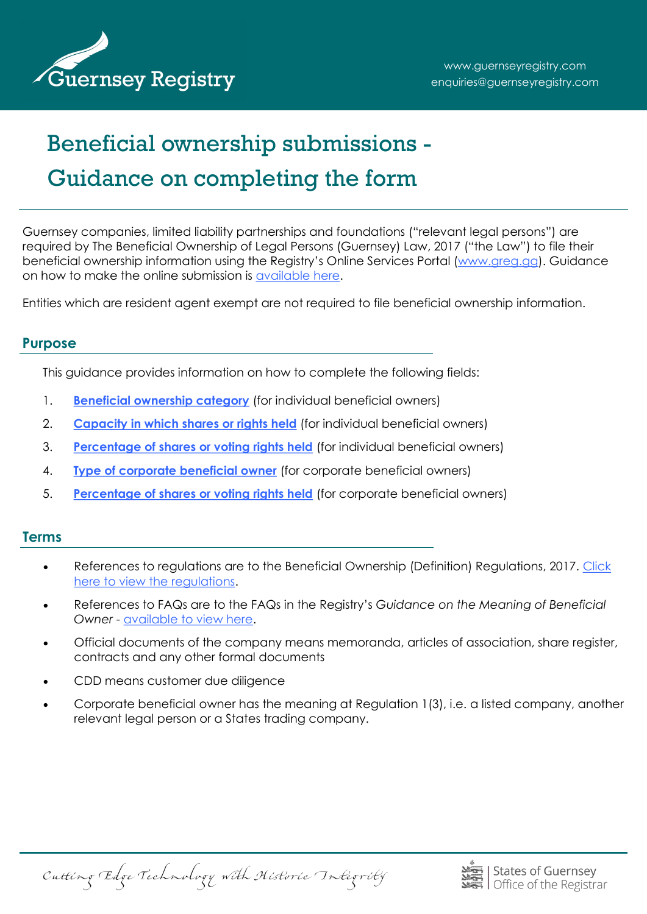

# Beneficial ownership submissions - Guidance on completing the form

Guernsey companies, limited liability partnerships and foundations ("relevant legal persons") are required by The Beneficial Ownership of Legal Persons (Guernsey) Law, 2017 ("the Law") to file their beneficial ownership information using the Registry's Online Services Portal ([www.greg.gg\)](http://www.greg.gg/). Guidance on how to make the online submission is [available here.](http://guernseyregistry.com/CHttpHandler.ashx?id=109188&p=0)

Entities which are resident agent exempt are not required to file beneficial ownership information.

#### **Purpose**

This guidance provides information on how to complete the following fields:

- 1. **[Beneficial ownership category](#page-1-0)** (for individual beneficial owners)
- 2. **[Capacity in which shares or rights held](#page-4-0)** (for individual beneficial owners)
- 3. **[Percentage of shares or voting rights held](#page-6-0)** (for individual beneficial owners)
- 4. **[Type of corporate beneficial owner](#page-7-0)** (for corporate beneficial owners)
- 5. **[Percentage of shares or voting rights held](#page-8-0)** (for corporate beneficial owners)

#### **Terms**

- References to regulations are to the Beneficial Ownership (Definition) Regulations, 2017. [Click](http://www.guernseylegalresources.gg/article/161219/No-38---The-Beneficial-Ownership-Definition-Regulations-2017)  [here to view the regulations.](http://www.guernseylegalresources.gg/article/161219/No-38---The-Beneficial-Ownership-Definition-Regulations-2017)
- References to FAQs are to the FAQs in the Registry's *Guidance on the Meaning of Beneficial Owner* - [available to view here.](http://guernseyregistry.com/CHttpHandler.ashx?id=109195&p=0)
- Official documents of the company means memoranda, articles of association, share register, contracts and any other formal documents
- CDD means customer due diligence
- Corporate beneficial owner has the meaning at Regulation 1(3), i.e. a listed company, another relevant legal person or a States trading company.

Cutting Edge Technology with Historic Integrity

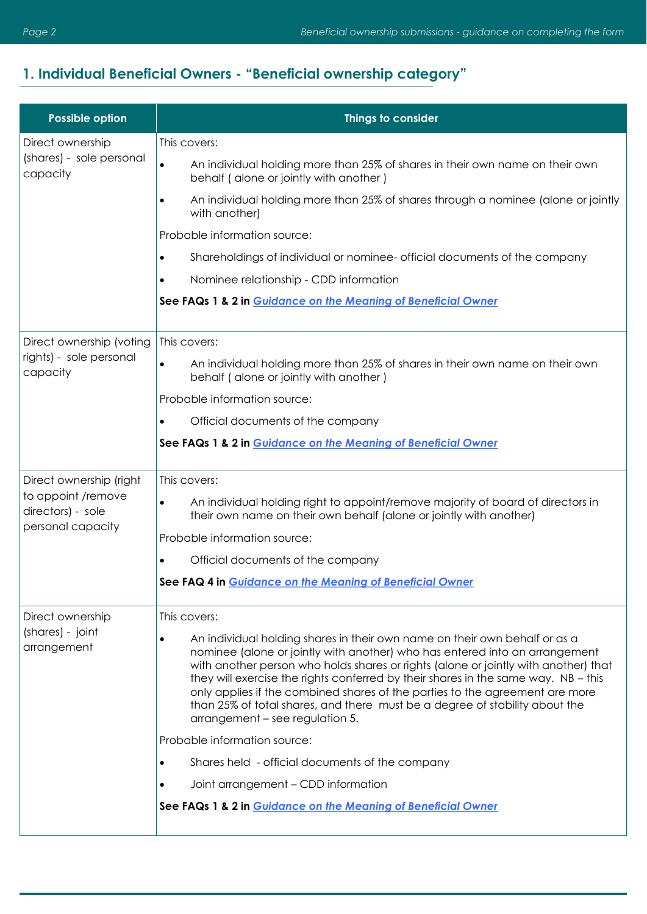## <span id="page-1-0"></span>**1. Individual Beneficial Owners - "Beneficial ownership category"**

| <b>Possible option</b>                                       | Things to consider                                                                                                                                                                                                                                                                                                                                                                                                                                                                                                                                    |
|--------------------------------------------------------------|-------------------------------------------------------------------------------------------------------------------------------------------------------------------------------------------------------------------------------------------------------------------------------------------------------------------------------------------------------------------------------------------------------------------------------------------------------------------------------------------------------------------------------------------------------|
| Direct ownership                                             | This covers:                                                                                                                                                                                                                                                                                                                                                                                                                                                                                                                                          |
| (shares) - sole personal<br>capacity                         | An individual holding more than 25% of shares in their own name on their own<br>$\bullet$<br>behalf (alone or jointly with another)                                                                                                                                                                                                                                                                                                                                                                                                                   |
|                                                              | An individual holding more than 25% of shares through a nominee (alone or jointly<br>$\bullet$<br>with another)                                                                                                                                                                                                                                                                                                                                                                                                                                       |
|                                                              | Probable information source:                                                                                                                                                                                                                                                                                                                                                                                                                                                                                                                          |
|                                                              | Shareholdings of individual or nominee- official documents of the company<br>$\bullet$                                                                                                                                                                                                                                                                                                                                                                                                                                                                |
|                                                              | Nominee relationship - CDD information<br>$\bullet$                                                                                                                                                                                                                                                                                                                                                                                                                                                                                                   |
|                                                              | See FAQs 1 & 2 in Guidance on the Meaning of Beneficial Owner                                                                                                                                                                                                                                                                                                                                                                                                                                                                                         |
| Direct ownership (voting                                     | This covers:                                                                                                                                                                                                                                                                                                                                                                                                                                                                                                                                          |
| rights) - sole personal<br>capacity                          | An individual holding more than 25% of shares in their own name on their own<br>$\bullet$<br>behalf (alone or jointly with another)                                                                                                                                                                                                                                                                                                                                                                                                                   |
|                                                              | Probable information source:                                                                                                                                                                                                                                                                                                                                                                                                                                                                                                                          |
|                                                              | Official documents of the company<br>$\bullet$                                                                                                                                                                                                                                                                                                                                                                                                                                                                                                        |
|                                                              | See FAQs 1 & 2 in Guidance on the Meaning of Beneficial Owner                                                                                                                                                                                                                                                                                                                                                                                                                                                                                         |
| Direct ownership (right                                      | This covers:                                                                                                                                                                                                                                                                                                                                                                                                                                                                                                                                          |
| to appoint /remove<br>directors) - sole<br>personal capacity | An individual holding right to appoint/remove majority of board of directors in<br>$\bullet$<br>their own name on their own behalf (alone or jointly with another)                                                                                                                                                                                                                                                                                                                                                                                    |
|                                                              | Probable information source:                                                                                                                                                                                                                                                                                                                                                                                                                                                                                                                          |
|                                                              | Official documents of the company<br>$\bullet$                                                                                                                                                                                                                                                                                                                                                                                                                                                                                                        |
|                                                              | See FAQ 4 in Guidance on the Meaning of Beneficial Owner                                                                                                                                                                                                                                                                                                                                                                                                                                                                                              |
| Direct ownership                                             | This covers:                                                                                                                                                                                                                                                                                                                                                                                                                                                                                                                                          |
| (shares) - joint<br>arrangement                              | An individual holding shares in their own name on their own behalf or as a<br>$\bullet$<br>nominee (alone or jointly with another) who has entered into an arrangement<br>with another person who holds shares or rights (alone or jointly with another) that<br>they will exercise the rights conferred by their shares in the same way. NB - this<br>only applies if the combined shares of the parties to the agreement are more<br>than 25% of total shares, and there must be a degree of stability about the<br>arrangement – see regulation 5. |
|                                                              | Probable information source:                                                                                                                                                                                                                                                                                                                                                                                                                                                                                                                          |
|                                                              | Shares held - official documents of the company<br>$\bullet$                                                                                                                                                                                                                                                                                                                                                                                                                                                                                          |
|                                                              | Joint arrangement - CDD information<br>٠                                                                                                                                                                                                                                                                                                                                                                                                                                                                                                              |
|                                                              | See FAQs 1 & 2 in Guidance on the Meaning of Beneficial Owner                                                                                                                                                                                                                                                                                                                                                                                                                                                                                         |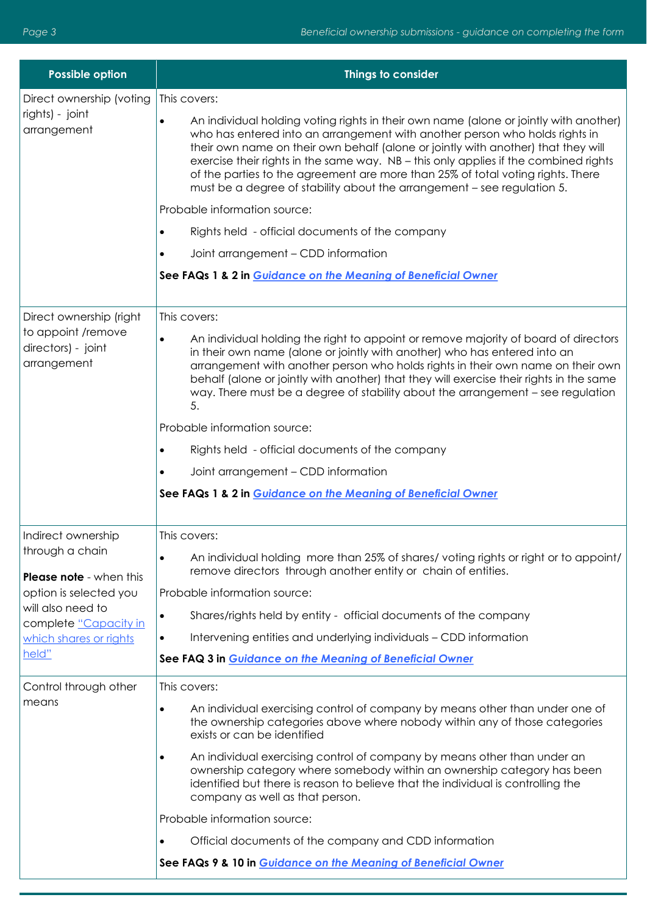| <b>Possible option</b>                                                             | Things to consider                                                                                                                                                                                                                                                                                                                                                                                                                                                                                                                                                                                                                                                                                                                      |
|------------------------------------------------------------------------------------|-----------------------------------------------------------------------------------------------------------------------------------------------------------------------------------------------------------------------------------------------------------------------------------------------------------------------------------------------------------------------------------------------------------------------------------------------------------------------------------------------------------------------------------------------------------------------------------------------------------------------------------------------------------------------------------------------------------------------------------------|
| Direct ownership (voting<br>rights) - joint<br>arrangement                         | This covers:<br>An individual holding voting rights in their own name (alone or jointly with another)<br>$\bullet$<br>who has entered into an arrangement with another person who holds rights in<br>their own name on their own behalf (alone or jointly with another) that they will<br>exercise their rights in the same way. NB - this only applies if the combined rights<br>of the parties to the agreement are more than 25% of total voting rights. There<br>must be a degree of stability about the arrangement - see regulation 5.<br>Probable information source:<br>Rights held - official documents of the company<br>Joint arrangement - CDD information<br>See FAQs 1 & 2 in Guidance on the Meaning of Beneficial Owner |
| Direct ownership (right<br>to appoint /remove<br>directors) - joint<br>arrangement | This covers:<br>An individual holding the right to appoint or remove majority of board of directors<br>$\bullet$<br>in their own name (alone or jointly with another) who has entered into an<br>arrangement with another person who holds rights in their own name on their own<br>behalf (alone or jointly with another) that they will exercise their rights in the same<br>way. There must be a degree of stability about the arrangement - see regulation<br>5.<br>Probable information source:<br>Rights held - official documents of the company<br>Joint arrangement - CDD information<br>See FAQs 1 & 2 in Guidance on the Meaning of Beneficial Owner                                                                         |
| Indirect ownership                                                                 | This covers:                                                                                                                                                                                                                                                                                                                                                                                                                                                                                                                                                                                                                                                                                                                            |
| through a chain<br><b>Please note</b> - when this                                  | An individual holding more than 25% of shares/voting rights or right or to appoint/<br>$\bullet$<br>remove directors through another entity or chain of entities.                                                                                                                                                                                                                                                                                                                                                                                                                                                                                                                                                                       |
| option is selected you                                                             | Probable information source:                                                                                                                                                                                                                                                                                                                                                                                                                                                                                                                                                                                                                                                                                                            |
| will also need to                                                                  | Shares/rights held by entity - official documents of the company<br>$\bullet$                                                                                                                                                                                                                                                                                                                                                                                                                                                                                                                                                                                                                                                           |
| complete "Capacity in<br>which shares or rights                                    | Intervening entities and underlying individuals - CDD information                                                                                                                                                                                                                                                                                                                                                                                                                                                                                                                                                                                                                                                                       |
| held"                                                                              | See FAQ 3 in Guidance on the Meaning of Beneficial Owner                                                                                                                                                                                                                                                                                                                                                                                                                                                                                                                                                                                                                                                                                |
| Control through other                                                              | This covers:                                                                                                                                                                                                                                                                                                                                                                                                                                                                                                                                                                                                                                                                                                                            |
| means                                                                              | An individual exercising control of company by means other than under one of<br>$\bullet$<br>the ownership categories above where nobody within any of those categories<br>exists or can be identified                                                                                                                                                                                                                                                                                                                                                                                                                                                                                                                                  |
|                                                                                    | An individual exercising control of company by means other than under an<br>$\bullet$<br>ownership category where somebody within an ownership category has been<br>identified but there is reason to believe that the individual is controlling the<br>company as well as that person.                                                                                                                                                                                                                                                                                                                                                                                                                                                 |
|                                                                                    | Probable information source:                                                                                                                                                                                                                                                                                                                                                                                                                                                                                                                                                                                                                                                                                                            |
|                                                                                    | Official documents of the company and CDD information                                                                                                                                                                                                                                                                                                                                                                                                                                                                                                                                                                                                                                                                                   |
|                                                                                    | See FAQs 9 & 10 in Guidance on the Meaning of Beneficial Owner                                                                                                                                                                                                                                                                                                                                                                                                                                                                                                                                                                                                                                                                          |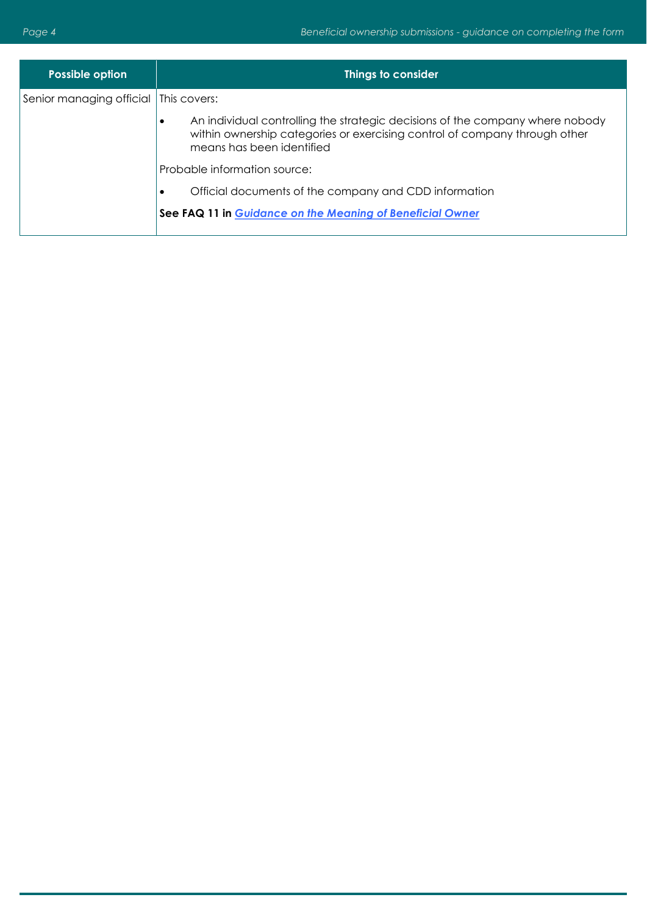| Possible option                       | Things to consider                                                                                                                                                                                    |
|---------------------------------------|-------------------------------------------------------------------------------------------------------------------------------------------------------------------------------------------------------|
| Senior managing official This covers: |                                                                                                                                                                                                       |
|                                       | An individual controlling the strategic decisions of the company where nobody<br>$\bullet$<br>within ownership categories or exercising control of company through other<br>means has been identified |
|                                       | Probable information source:                                                                                                                                                                          |
|                                       | Official documents of the company and CDD information<br>$\bullet$                                                                                                                                    |
|                                       | See FAQ 11 in Guidance on the Meaning of Beneficial Owner                                                                                                                                             |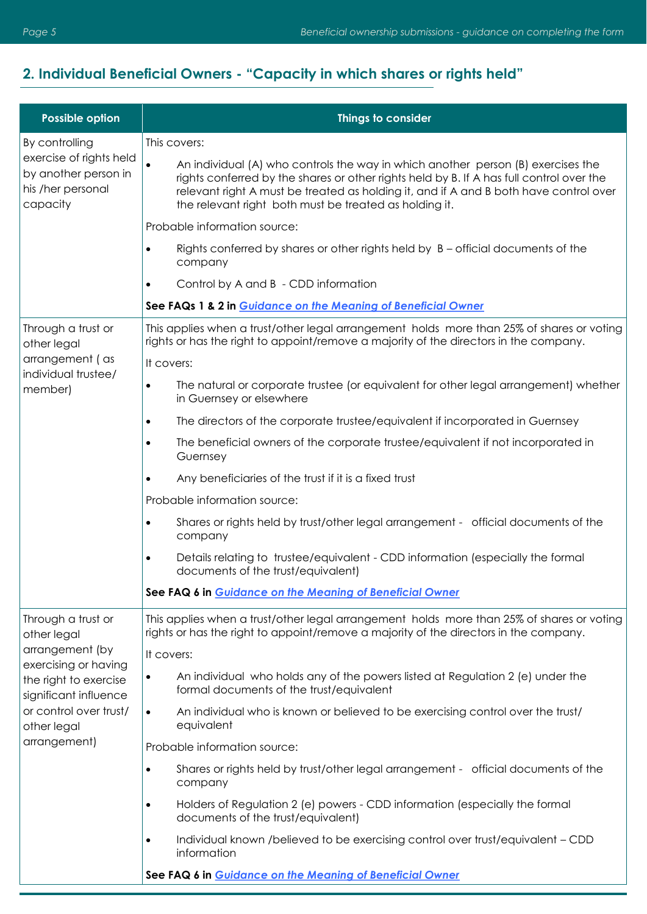## <span id="page-4-0"></span>**2. Individual Beneficial Owners - "Capacity in which shares or rights held"**

| Possible option                                                                                         | Things to consider                                                                                                                                                                                                                                                                                                              |
|---------------------------------------------------------------------------------------------------------|---------------------------------------------------------------------------------------------------------------------------------------------------------------------------------------------------------------------------------------------------------------------------------------------------------------------------------|
| By controlling<br>exercise of rights held<br>by another person in<br>his /her personal<br>capacity      | This covers:                                                                                                                                                                                                                                                                                                                    |
|                                                                                                         | An individual (A) who controls the way in which another person (B) exercises the<br>rights conferred by the shares or other rights held by B. If A has full control over the<br>relevant right A must be treated as holding it, and if A and B both have control over<br>the relevant right both must be treated as holding it. |
|                                                                                                         | Probable information source:                                                                                                                                                                                                                                                                                                    |
|                                                                                                         | Rights conferred by shares or other rights held by $B$ – official documents of the<br>company                                                                                                                                                                                                                                   |
|                                                                                                         | Control by A and B - CDD information                                                                                                                                                                                                                                                                                            |
|                                                                                                         | See FAQs 1 & 2 in Guidance on the Meaning of Beneficial Owner                                                                                                                                                                                                                                                                   |
| Through a trust or<br>other legal                                                                       | This applies when a trust/other legal arrangement holds more than 25% of shares or voting<br>rights or has the right to appoint/remove a majority of the directors in the company.                                                                                                                                              |
| arrangement (as                                                                                         | It covers:                                                                                                                                                                                                                                                                                                                      |
| individual trustee/<br>member)                                                                          | The natural or corporate trustee (or equivalent for other legal arrangement) whether<br>$\bullet$<br>in Guernsey or elsewhere                                                                                                                                                                                                   |
|                                                                                                         | The directors of the corporate trustee/equivalent if incorporated in Guernsey                                                                                                                                                                                                                                                   |
|                                                                                                         | The beneficial owners of the corporate trustee/equivalent if not incorporated in<br>Guernsey                                                                                                                                                                                                                                    |
|                                                                                                         | Any beneficiaries of the trust if it is a fixed trust                                                                                                                                                                                                                                                                           |
|                                                                                                         | Probable information source:                                                                                                                                                                                                                                                                                                    |
|                                                                                                         | Shares or rights held by trust/other legal arrangement - official documents of the<br>company                                                                                                                                                                                                                                   |
|                                                                                                         | Details relating to trustee/equivalent - CDD information (especially the formal<br>documents of the trust/equivalent)                                                                                                                                                                                                           |
|                                                                                                         | See FAQ 6 in Guidance on the Meaning of Beneficial Owner                                                                                                                                                                                                                                                                        |
| Through a trust or<br>other legal                                                                       | This applies when a trust/other legal arrangement holds more than 25% of shares or voting<br>rights or has the right to appoint/remove a majority of the directors in the company.                                                                                                                                              |
| arrangement (by<br>exercising or having                                                                 | It covers:                                                                                                                                                                                                                                                                                                                      |
| the right to exercise<br>significant influence<br>or control over trust/<br>other legal<br>arrangement) | An individual who holds any of the powers listed at Regulation 2 (e) under the<br>$\bullet$<br>formal documents of the trust/equivalent                                                                                                                                                                                         |
|                                                                                                         | An individual who is known or believed to be exercising control over the trust/<br>$\bullet$<br>equivalent                                                                                                                                                                                                                      |
|                                                                                                         | Probable information source:                                                                                                                                                                                                                                                                                                    |
|                                                                                                         | Shares or rights held by trust/other legal arrangement - official documents of the<br>$\bullet$<br>company                                                                                                                                                                                                                      |
|                                                                                                         | Holders of Regulation 2 (e) powers - CDD information (especially the formal<br>documents of the trust/equivalent)                                                                                                                                                                                                               |
|                                                                                                         | Individual known /believed to be exercising control over trust/equivalent - CDD<br>information                                                                                                                                                                                                                                  |
|                                                                                                         | See FAQ 6 in Guidance on the Meaning of Beneficial Owner                                                                                                                                                                                                                                                                        |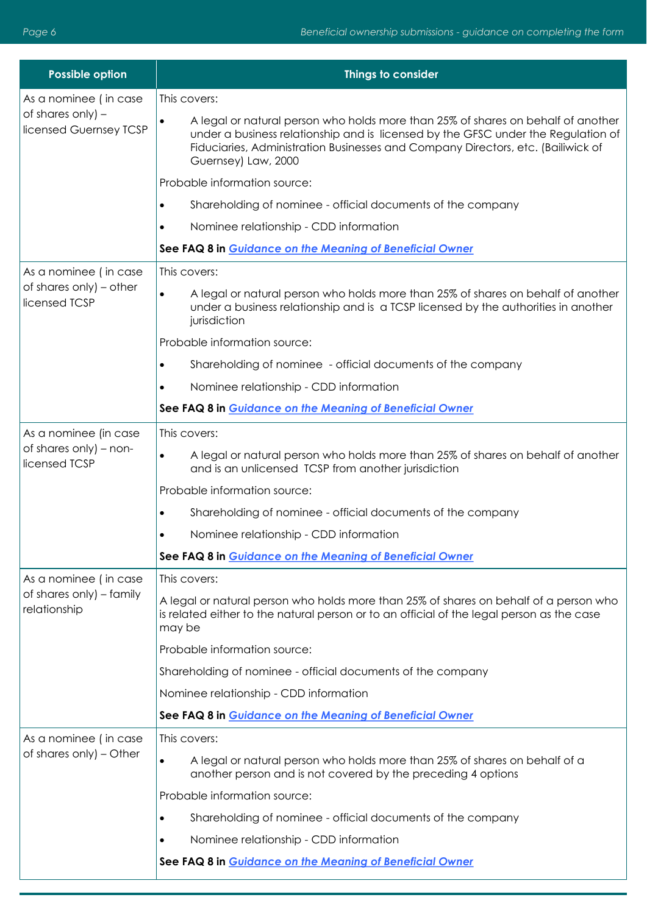| <b>Possible option</b>                      | Things to consider                                                                                                                                                                                                                                                               |
|---------------------------------------------|----------------------------------------------------------------------------------------------------------------------------------------------------------------------------------------------------------------------------------------------------------------------------------|
| As a nominee (in case                       | This covers:                                                                                                                                                                                                                                                                     |
| of shares only) -<br>licensed Guernsey TCSP | A legal or natural person who holds more than 25% of shares on behalf of another<br>under a business relationship and is licensed by the GFSC under the Regulation of<br>Fiduciaries, Administration Businesses and Company Directors, etc. (Bailiwick of<br>Guernsey) Law, 2000 |
|                                             | Probable information source:                                                                                                                                                                                                                                                     |
|                                             | Shareholding of nominee - official documents of the company<br>٠                                                                                                                                                                                                                 |
|                                             | Nominee relationship - CDD information                                                                                                                                                                                                                                           |
|                                             | See FAQ 8 in Guidance on the Meaning of Beneficial Owner                                                                                                                                                                                                                         |
| As a nominee (in case                       | This covers:                                                                                                                                                                                                                                                                     |
| of shares only) – other<br>licensed TCSP    | A legal or natural person who holds more than 25% of shares on behalf of another<br>$\bullet$<br>under a business relationship and is a TCSP licensed by the authorities in another<br>jurisdiction                                                                              |
|                                             | Probable information source:                                                                                                                                                                                                                                                     |
|                                             | Shareholding of nominee - official documents of the company<br>$\bullet$                                                                                                                                                                                                         |
|                                             | Nominee relationship - CDD information                                                                                                                                                                                                                                           |
|                                             | See FAQ 8 in Guidance on the Meaning of Beneficial Owner                                                                                                                                                                                                                         |
| As a nominee (in case                       | This covers:                                                                                                                                                                                                                                                                     |
| of shares only) - non-<br>licensed TCSP     | A legal or natural person who holds more than 25% of shares on behalf of another<br>$\bullet$<br>and is an unlicensed TCSP from another jurisdiction                                                                                                                             |
|                                             | Probable information source:                                                                                                                                                                                                                                                     |
|                                             | Shareholding of nominee - official documents of the company<br>$\bullet$                                                                                                                                                                                                         |
|                                             | Nominee relationship - CDD information                                                                                                                                                                                                                                           |
|                                             | See FAQ 8 in Guidance on the Meaning of Beneficial Owner                                                                                                                                                                                                                         |
| As a nominee (in case                       | This covers:                                                                                                                                                                                                                                                                     |
| of shares only) - family<br>relationship    | A legal or natural person who holds more than 25% of shares on behalf of a person who<br>is related either to the natural person or to an official of the legal person as the case<br>may be                                                                                     |
|                                             | Probable information source:                                                                                                                                                                                                                                                     |
|                                             | Shareholding of nominee - official documents of the company                                                                                                                                                                                                                      |
|                                             | Nominee relationship - CDD information                                                                                                                                                                                                                                           |
|                                             | See FAQ 8 in Guidance on the Meaning of Beneficial Owner                                                                                                                                                                                                                         |
| As a nominee (in case                       | This covers:                                                                                                                                                                                                                                                                     |
| of shares only) – Other                     | A legal or natural person who holds more than 25% of shares on behalf of a<br>$\bullet$<br>another person and is not covered by the preceding 4 options                                                                                                                          |
|                                             | Probable information source:                                                                                                                                                                                                                                                     |
|                                             | Shareholding of nominee - official documents of the company<br>$\bullet$                                                                                                                                                                                                         |
|                                             | Nominee relationship - CDD information<br>$\bullet$                                                                                                                                                                                                                              |
|                                             | See FAQ 8 in Guidance on the Meaning of Beneficial Owner                                                                                                                                                                                                                         |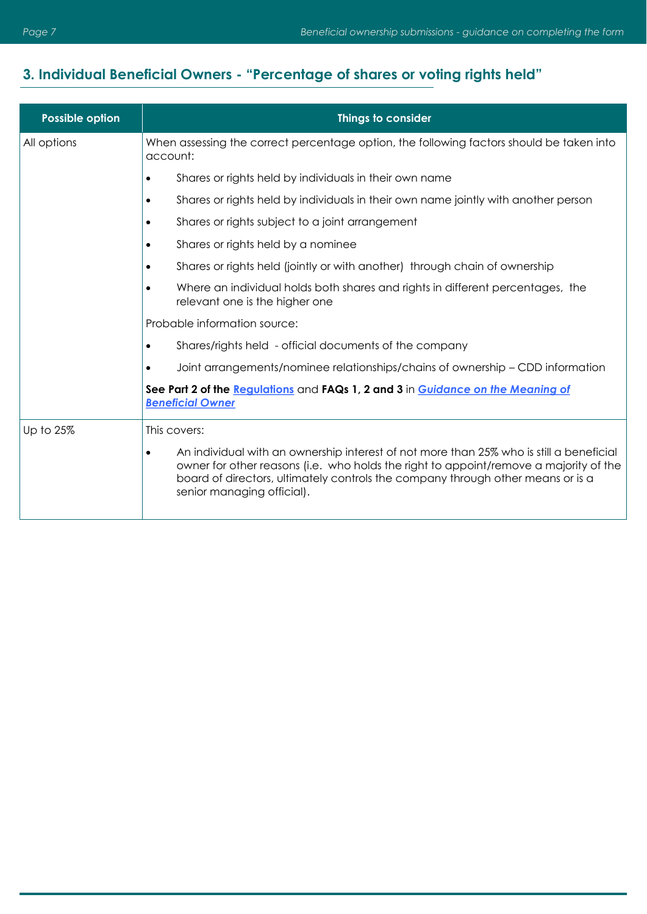#### <span id="page-6-0"></span>**3. Individual Beneficial Owners - "Percentage of shares or voting rights held"**

| <b>Possible option</b> | Things to consider                                                                                                                                                                                                                                                                                             |
|------------------------|----------------------------------------------------------------------------------------------------------------------------------------------------------------------------------------------------------------------------------------------------------------------------------------------------------------|
| All options            | When assessing the correct percentage option, the following factors should be taken into<br>account:                                                                                                                                                                                                           |
|                        | Shares or rights held by individuals in their own name<br>$\bullet$                                                                                                                                                                                                                                            |
|                        | Shares or rights held by individuals in their own name jointly with another person<br>$\bullet$                                                                                                                                                                                                                |
|                        | Shares or rights subject to a joint arrangement<br>$\bullet$                                                                                                                                                                                                                                                   |
|                        | Shares or rights held by a nominee<br>$\bullet$                                                                                                                                                                                                                                                                |
|                        | Shares or rights held (jointly or with another) through chain of ownership<br>$\bullet$                                                                                                                                                                                                                        |
|                        | Where an individual holds both shares and rights in different percentages, the<br>relevant one is the higher one                                                                                                                                                                                               |
|                        | Probable information source:                                                                                                                                                                                                                                                                                   |
|                        | Shares/rights held - official documents of the company<br>$\bullet$                                                                                                                                                                                                                                            |
|                        | Joint arrangements/nominee relationships/chains of ownership - CDD information<br>$\bullet$                                                                                                                                                                                                                    |
|                        | See Part 2 of the Regulations and FAQs 1, 2 and 3 in Guidance on the Meaning of<br><b>Beneficial Owner</b>                                                                                                                                                                                                     |
| Up to 25%              | This covers:                                                                                                                                                                                                                                                                                                   |
|                        | An individual with an ownership interest of not more than 25% who is still a beneficial<br>$\bullet$<br>owner for other reasons (i.e. who holds the right to appoint/remove a majority of the<br>board of directors, ultimately controls the company through other means or is a<br>senior managing official). |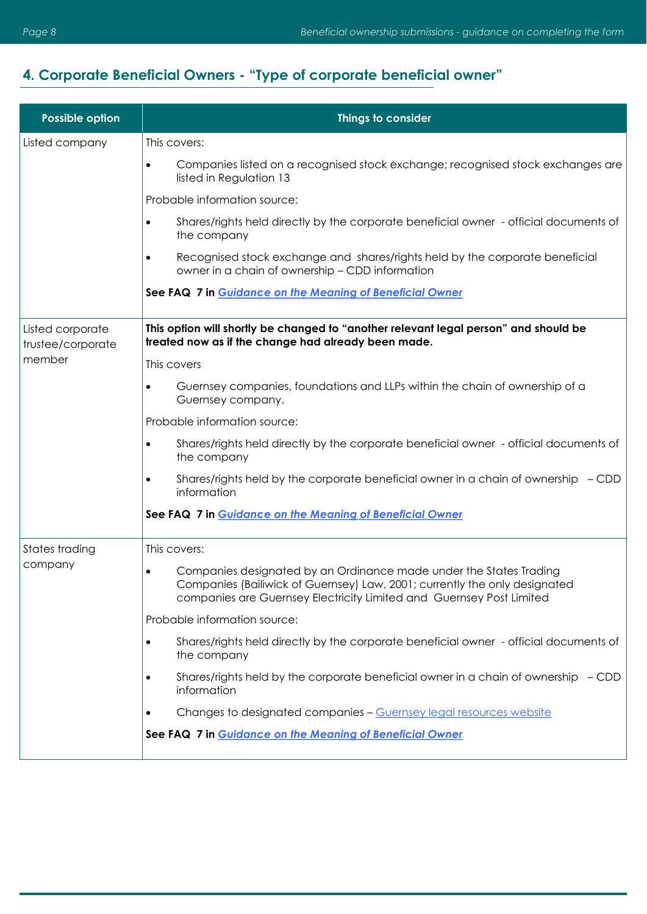#### <span id="page-7-0"></span>**4. Corporate Beneficial Owners - "Type of corporate beneficial owner"**

| Possible option                       | Things to consider                                                                                                                                                                                                       |
|---------------------------------------|--------------------------------------------------------------------------------------------------------------------------------------------------------------------------------------------------------------------------|
| Listed company                        | This covers:                                                                                                                                                                                                             |
|                                       | Companies listed on a recognised stock exchange; recognised stock exchanges are<br>$\bullet$<br>listed in Regulation 13                                                                                                  |
|                                       | Probable information source:                                                                                                                                                                                             |
|                                       | Shares/rights held directly by the corporate beneficial owner - official documents of<br>$\bullet$<br>the company                                                                                                        |
|                                       | Recognised stock exchange and shares/rights held by the corporate beneficial<br>$\bullet$<br>owner in a chain of ownership - CDD information                                                                             |
|                                       | See FAQ 7 in Guidance on the Meaning of Beneficial Owner                                                                                                                                                                 |
| Listed corporate<br>trustee/corporate | This option will shortly be changed to "another relevant legal person" and should be<br>treated now as if the change had already been made.                                                                              |
| member                                | This covers                                                                                                                                                                                                              |
|                                       | Guernsey companies, foundations and LLPs within the chain of ownership of a<br>٠<br>Guernsey company.                                                                                                                    |
|                                       | Probable information source:                                                                                                                                                                                             |
|                                       | Shares/rights held directly by the corporate beneficial owner - official documents of<br>$\bullet$<br>the company                                                                                                        |
|                                       | Shares/rights held by the corporate beneficial owner in a chain of ownership $-$ CDD<br>$\bullet$<br>information                                                                                                         |
|                                       | See FAQ 7 in Guidance on the Meaning of Beneficial Owner                                                                                                                                                                 |
| States trading<br>company             | This covers:                                                                                                                                                                                                             |
|                                       | Companies designated by an Ordinance made under the States Trading<br>Companies (Bailiwick of Guernsey) Law, 2001; currently the only designated<br>companies are Guernsey Electricity Limited and Guernsey Post Limited |
|                                       | Probable information source:                                                                                                                                                                                             |
|                                       | Shares/rights held directly by the corporate beneficial owner - official documents of<br>the company                                                                                                                     |
|                                       | Shares/rights held by the corporate beneficial owner in a chain of ownership $-$ CDD<br>information                                                                                                                      |
|                                       | Changes to designated companies - Guernsey legal resources website                                                                                                                                                       |
|                                       | See FAQ 7 in Guidance on the Meaning of Beneficial Owner                                                                                                                                                                 |